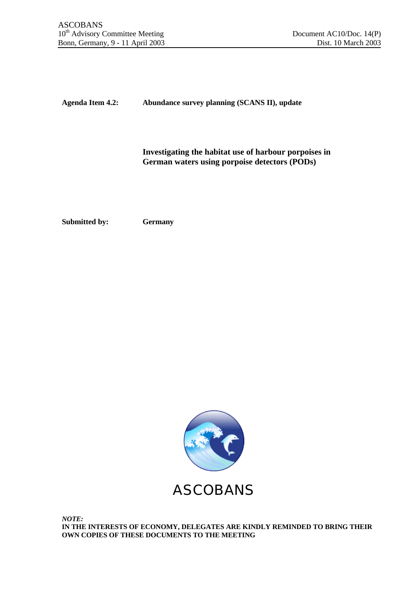**Agenda Item 4.2: Abundance survey planning (SCANS II), update**

**Investigating the habitat use of harbour porpoises in German waters using porpoise detectors (PODs)**

**Submitted by: Germany**



*NOTE:* **IN THE INTERESTS OF ECONOMY, DELEGATES ARE KINDLY REMINDED TO BRING THEIR OWN COPIES OF THESE DOCUMENTS TO THE MEETING**